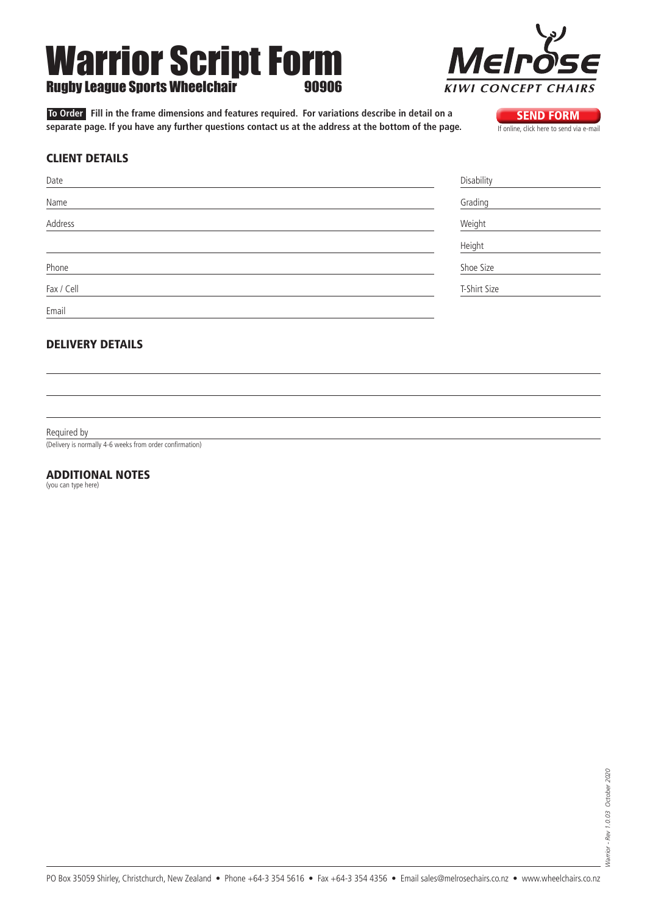# Warrior Script Form **Rugby League Sports Wheelchair**

**To Order** Fill in the frame dimensions and features required. For variations describe in detail on a<br>**SEND FORM** separate page. If you have any further questions contact us at the address at the bottom of the page. separate page. If you have any further questions contact us at the address at the bottom of the page.

# Mell **KIWI CONCEPT**  $CH$

### Client details

| Date       | Disability   |
|------------|--------------|
| Name       | Grading      |
| Address    | Weight       |
|            | Height       |
| Phone      | Shoe Size    |
| Fax / Cell | T-Shirt Size |
| Email      |              |

## Delivery details

Required by

(Delivery is normally 4-6 weeks from order confirmation)

### Additional Notes

(you can type here)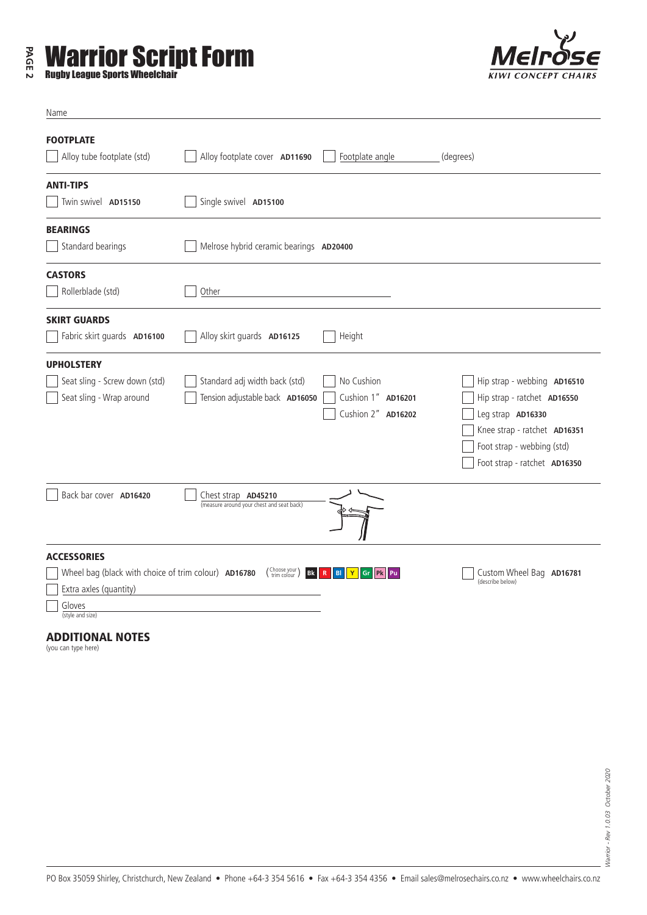# **PAGE 2 Warrior Script Form**<br>**Rugby League Sports Wheelchair**



| Name                                                                                                                               |                                                                                                            |                                                        |                                                                                                                                                                               |
|------------------------------------------------------------------------------------------------------------------------------------|------------------------------------------------------------------------------------------------------------|--------------------------------------------------------|-------------------------------------------------------------------------------------------------------------------------------------------------------------------------------|
| <b>FOOTPLATE</b><br>Alloy tube footplate (std)                                                                                     | Alloy footplate cover AD11690                                                                              | Footplate angle                                        | (degrees)                                                                                                                                                                     |
| <b>ANTI-TIPS</b><br>Twin swivel AD15150                                                                                            | Single swivel AD15100                                                                                      |                                                        |                                                                                                                                                                               |
| <b>BEARINGS</b><br>Standard bearings                                                                                               | Melrose hybrid ceramic bearings AD20400                                                                    |                                                        |                                                                                                                                                                               |
| <b>CASTORS</b><br>Rollerblade (std)                                                                                                | Other                                                                                                      |                                                        |                                                                                                                                                                               |
| <b>SKIRT GUARDS</b><br>Fabric skirt guards AD16100                                                                                 | Alloy skirt guards AD16125                                                                                 | Height                                                 |                                                                                                                                                                               |
| <b>UPHOLSTERY</b><br>Seat sling - Screw down (std)<br>Seat sling - Wrap around                                                     | Standard adj width back (std)<br>Tension adjustable back AD16050                                           | No Cushion<br>Cushion 1" AD16201<br>Cushion 2" AD16202 | Hip strap - webbing AD16510<br>Hip strap - ratchet AD16550<br>Leg strap AD16330<br>Knee strap - ratchet AD16351<br>Foot strap - webbing (std)<br>Foot strap - ratchet AD16350 |
| Back bar cover AD16420                                                                                                             | Chest strap AD45210<br>(measure around your chest and seat back)                                           |                                                        |                                                                                                                                                                               |
| <b>ACCESSORIES</b><br>Wheel bag (black with choice of trim colour) AD16780<br>Extra axles (quantity)<br>Gloves<br>(style and size) | $\left(\begin{smallmatrix} \text{Choose your} \\ \text{trim colour} \end{smallmatrix}\right)$<br><b>Bk</b> | BI<br>Ÿ<br>Gr<br><b>Pk</b> Pu<br>$\mathbb{R}$          | Custom Wheel Bag AD16781<br>(describe below)                                                                                                                                  |

### Additional Notes

(you can type here)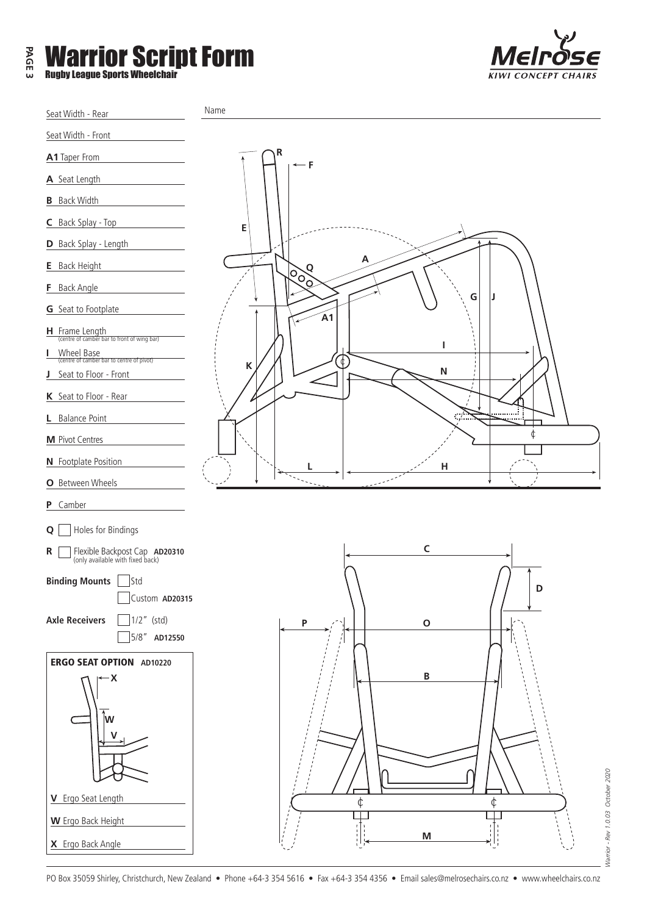| ω | <b>EXAMPLE VIA SET SCRIPT FORM</b><br><b>Rugby League Sports Wheelchair</b> |
|---|-----------------------------------------------------------------------------|
|---|-----------------------------------------------------------------------------|





PO Box 35059 Shirley, Christchurch, New Zealand • Phone +64-3 354 5616 • Fax +64-3 354 4356 • Email sales@melrosechairs.co.nz • www.wheelchairs.co.nz